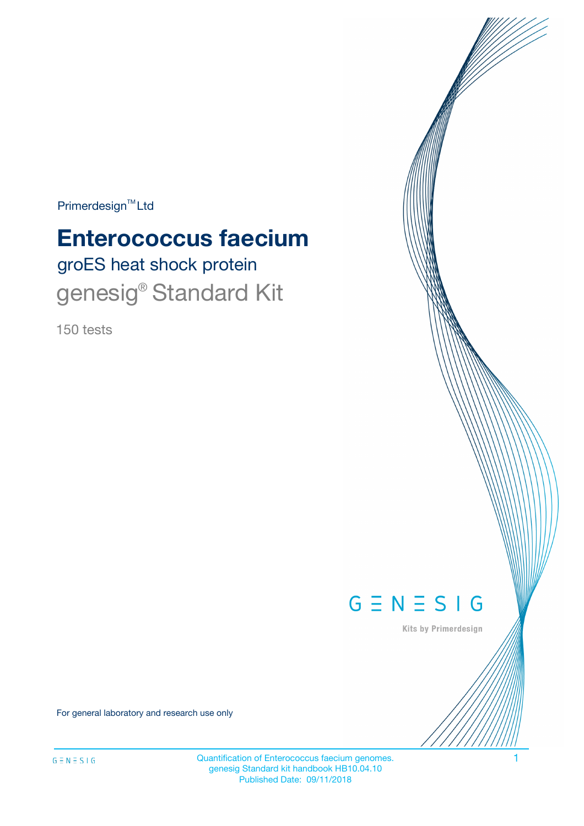$Primerdesign^{TM}$ Ltd

# groES heat shock protein **Enterococcus faecium** genesig® Standard Kit

150 tests



Kits by Primerdesign

For general laboratory and research use only

Quantification of Enterococcus faecium genomes. 1 genesig Standard kit handbook HB10.04.10 Published Date: 09/11/2018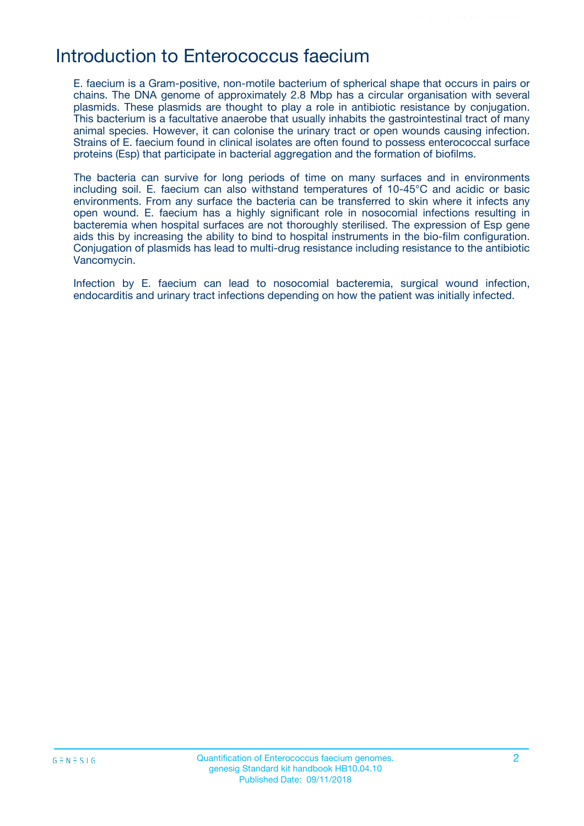### Introduction to Enterococcus faecium

E. faecium is a Gram-positive, non-motile bacterium of spherical shape that occurs in pairs or chains. The DNA genome of approximately 2.8 Mbp has a circular organisation with several plasmids. These plasmids are thought to play a role in antibiotic resistance by conjugation. This bacterium is a facultative anaerobe that usually inhabits the gastrointestinal tract of many animal species. However, it can colonise the urinary tract or open wounds causing infection. Strains of E. faecium found in clinical isolates are often found to possess enterococcal surface proteins (Esp) that participate in bacterial aggregation and the formation of biofilms.

The bacteria can survive for long periods of time on many surfaces and in environments including soil. E. faecium can also withstand temperatures of 10-45°C and acidic or basic environments. From any surface the bacteria can be transferred to skin where it infects any open wound. E. faecium has a highly significant role in nosocomial infections resulting in bacteremia when hospital surfaces are not thoroughly sterilised. The expression of Esp gene aids this by increasing the ability to bind to hospital instruments in the bio-film configuration. Conjugation of plasmids has lead to multi-drug resistance including resistance to the antibiotic Vancomycin.

Infection by E. faecium can lead to nosocomial bacteremia, surgical wound infection, endocarditis and urinary tract infections depending on how the patient was initially infected.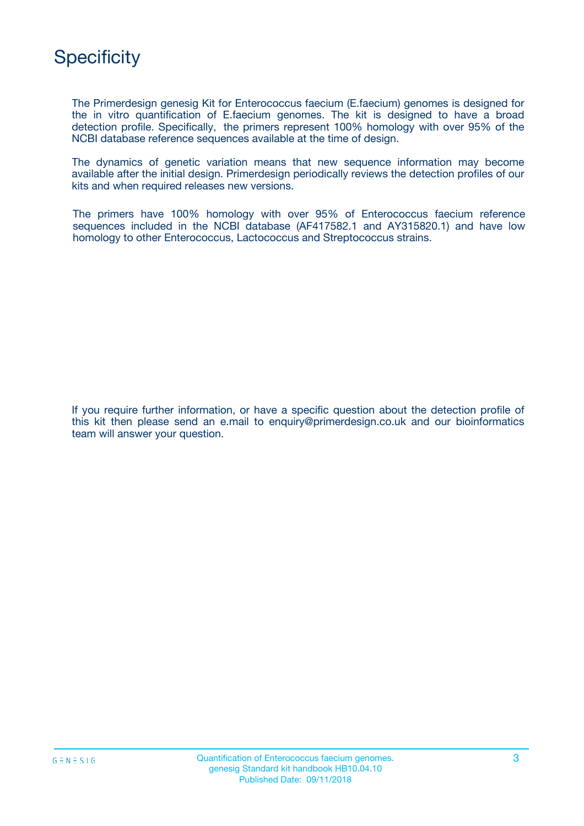

The Primerdesign genesig Kit for Enterococcus faecium (E.faecium) genomes is designed for the in vitro quantification of E.faecium genomes. The kit is designed to have a broad detection profile. Specifically, the primers represent 100% homology with over 95% of the NCBI database reference sequences available at the time of design.

The dynamics of genetic variation means that new sequence information may become available after the initial design. Primerdesign periodically reviews the detection profiles of our kits and when required releases new versions.

The primers have 100% homology with over 95% of Enterococcus faecium reference sequences included in the NCBI database (AF417582.1 and AY315820.1) and have low homology to other Enterococcus, Lactococcus and Streptococcus strains.

If you require further information, or have a specific question about the detection profile of this kit then please send an e.mail to enquiry@primerdesign.co.uk and our bioinformatics team will answer your question.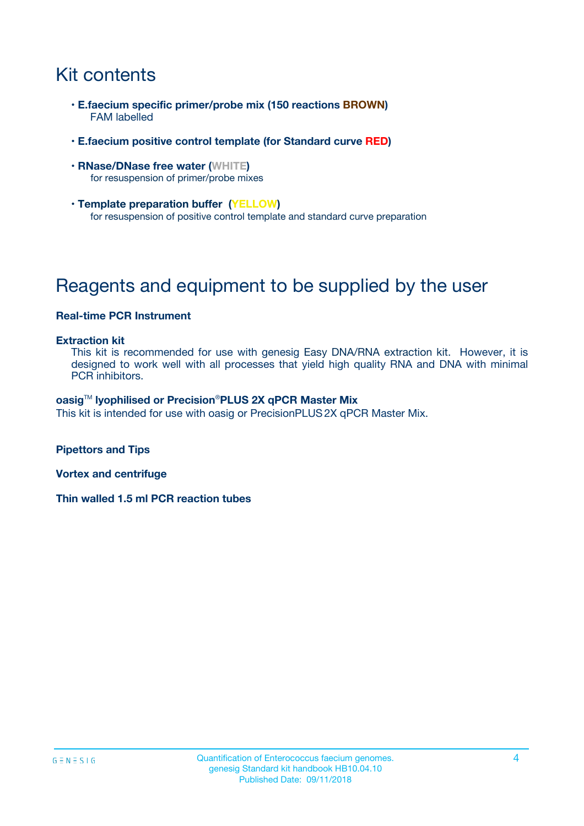## Kit contents

- **E.faecium specific primer/probe mix (150 reactions BROWN)** FAM labelled
- **E.faecium positive control template (for Standard curve RED)**
- **RNase/DNase free water (WHITE)** for resuspension of primer/probe mixes
- **Template preparation buffer (YELLOW)** for resuspension of positive control template and standard curve preparation

## Reagents and equipment to be supplied by the user

#### **Real-time PCR Instrument**

#### **Extraction kit**

This kit is recommended for use with genesig Easy DNA/RNA extraction kit. However, it is designed to work well with all processes that yield high quality RNA and DNA with minimal PCR inhibitors.

#### **oasig**TM **lyophilised or Precision**®**PLUS 2X qPCR Master Mix**

This kit is intended for use with oasig or PrecisionPLUS2X qPCR Master Mix.

**Pipettors and Tips**

**Vortex and centrifuge**

**Thin walled 1.5 ml PCR reaction tubes**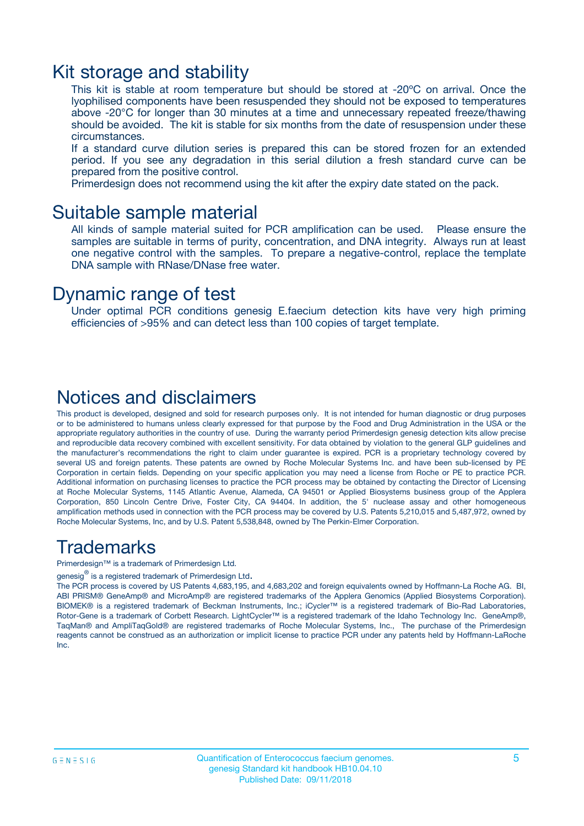### Kit storage and stability

This kit is stable at room temperature but should be stored at -20ºC on arrival. Once the lyophilised components have been resuspended they should not be exposed to temperatures above -20°C for longer than 30 minutes at a time and unnecessary repeated freeze/thawing should be avoided. The kit is stable for six months from the date of resuspension under these circumstances.

If a standard curve dilution series is prepared this can be stored frozen for an extended period. If you see any degradation in this serial dilution a fresh standard curve can be prepared from the positive control.

Primerdesign does not recommend using the kit after the expiry date stated on the pack.

### Suitable sample material

All kinds of sample material suited for PCR amplification can be used. Please ensure the samples are suitable in terms of purity, concentration, and DNA integrity. Always run at least one negative control with the samples. To prepare a negative-control, replace the template DNA sample with RNase/DNase free water.

### Dynamic range of test

Under optimal PCR conditions genesig E.faecium detection kits have very high priming efficiencies of >95% and can detect less than 100 copies of target template.

### Notices and disclaimers

This product is developed, designed and sold for research purposes only. It is not intended for human diagnostic or drug purposes or to be administered to humans unless clearly expressed for that purpose by the Food and Drug Administration in the USA or the appropriate regulatory authorities in the country of use. During the warranty period Primerdesign genesig detection kits allow precise and reproducible data recovery combined with excellent sensitivity. For data obtained by violation to the general GLP guidelines and the manufacturer's recommendations the right to claim under guarantee is expired. PCR is a proprietary technology covered by several US and foreign patents. These patents are owned by Roche Molecular Systems Inc. and have been sub-licensed by PE Corporation in certain fields. Depending on your specific application you may need a license from Roche or PE to practice PCR. Additional information on purchasing licenses to practice the PCR process may be obtained by contacting the Director of Licensing at Roche Molecular Systems, 1145 Atlantic Avenue, Alameda, CA 94501 or Applied Biosystems business group of the Applera Corporation, 850 Lincoln Centre Drive, Foster City, CA 94404. In addition, the 5' nuclease assay and other homogeneous amplification methods used in connection with the PCR process may be covered by U.S. Patents 5,210,015 and 5,487,972, owned by Roche Molecular Systems, Inc, and by U.S. Patent 5,538,848, owned by The Perkin-Elmer Corporation.

### Trademarks

Primerdesign™ is a trademark of Primerdesign Ltd.

genesig $^\circledR$  is a registered trademark of Primerdesign Ltd.

The PCR process is covered by US Patents 4,683,195, and 4,683,202 and foreign equivalents owned by Hoffmann-La Roche AG. BI, ABI PRISM® GeneAmp® and MicroAmp® are registered trademarks of the Applera Genomics (Applied Biosystems Corporation). BIOMEK® is a registered trademark of Beckman Instruments, Inc.; iCycler™ is a registered trademark of Bio-Rad Laboratories, Rotor-Gene is a trademark of Corbett Research. LightCycler™ is a registered trademark of the Idaho Technology Inc. GeneAmp®, TaqMan® and AmpliTaqGold® are registered trademarks of Roche Molecular Systems, Inc., The purchase of the Primerdesign reagents cannot be construed as an authorization or implicit license to practice PCR under any patents held by Hoffmann-LaRoche Inc.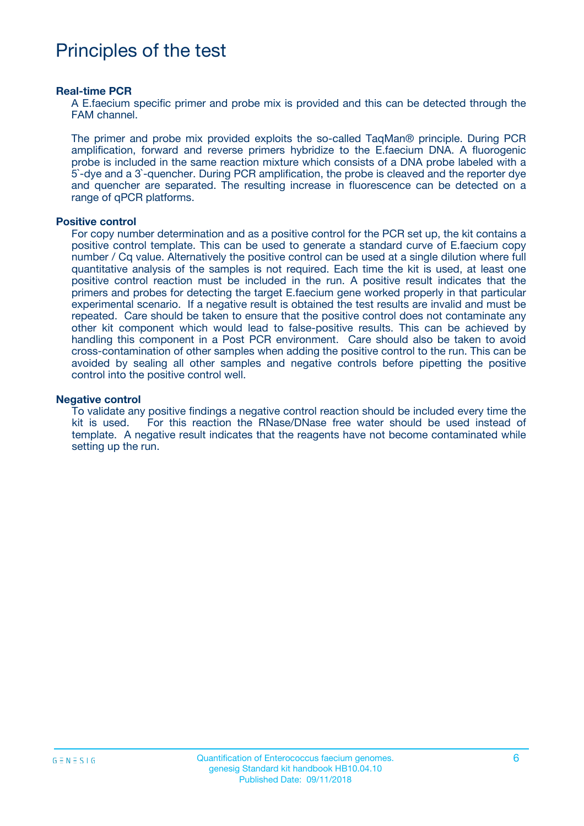### Principles of the test

#### **Real-time PCR**

A E.faecium specific primer and probe mix is provided and this can be detected through the FAM channel.

The primer and probe mix provided exploits the so-called TaqMan® principle. During PCR amplification, forward and reverse primers hybridize to the E.faecium DNA. A fluorogenic probe is included in the same reaction mixture which consists of a DNA probe labeled with a 5`-dye and a 3`-quencher. During PCR amplification, the probe is cleaved and the reporter dye and quencher are separated. The resulting increase in fluorescence can be detected on a range of qPCR platforms.

#### **Positive control**

For copy number determination and as a positive control for the PCR set up, the kit contains a positive control template. This can be used to generate a standard curve of E.faecium copy number / Cq value. Alternatively the positive control can be used at a single dilution where full quantitative analysis of the samples is not required. Each time the kit is used, at least one positive control reaction must be included in the run. A positive result indicates that the primers and probes for detecting the target E.faecium gene worked properly in that particular experimental scenario. If a negative result is obtained the test results are invalid and must be repeated. Care should be taken to ensure that the positive control does not contaminate any other kit component which would lead to false-positive results. This can be achieved by handling this component in a Post PCR environment. Care should also be taken to avoid cross-contamination of other samples when adding the positive control to the run. This can be avoided by sealing all other samples and negative controls before pipetting the positive control into the positive control well.

#### **Negative control**

To validate any positive findings a negative control reaction should be included every time the kit is used. For this reaction the RNase/DNase free water should be used instead of template. A negative result indicates that the reagents have not become contaminated while setting up the run.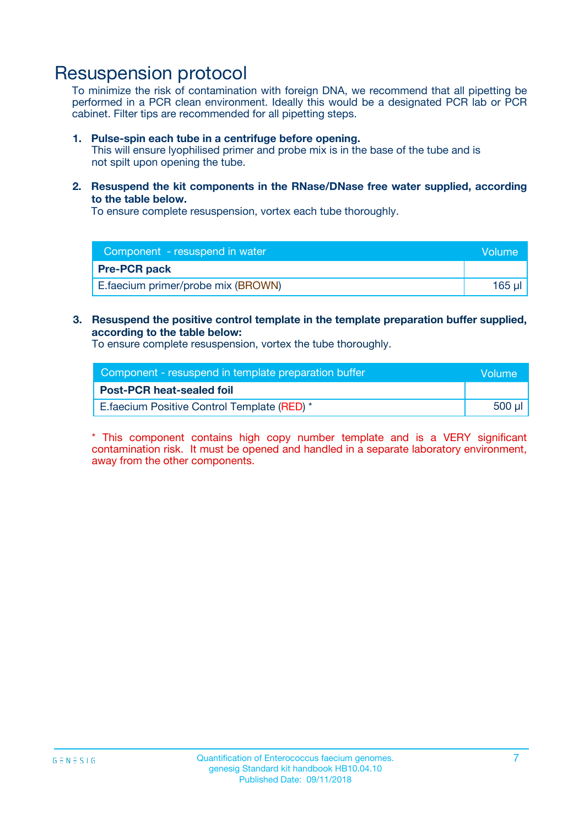### Resuspension protocol

To minimize the risk of contamination with foreign DNA, we recommend that all pipetting be performed in a PCR clean environment. Ideally this would be a designated PCR lab or PCR cabinet. Filter tips are recommended for all pipetting steps.

#### **1. Pulse-spin each tube in a centrifuge before opening.**

This will ensure lyophilised primer and probe mix is in the base of the tube and is not spilt upon opening the tube.

**2. Resuspend the kit components in the RNase/DNase free water supplied, according to the table below.**

To ensure complete resuspension, vortex each tube thoroughly.

| Component - resuspend in water<br><b>Volume</b> |          |
|-------------------------------------------------|----------|
| <b>Pre-PCR pack</b>                             |          |
| E.faecium primer/probe mix (BROWN)              | $165$ µl |

#### **3. Resuspend the positive control template in the template preparation buffer supplied, according to the table below:**

To ensure complete resuspension, vortex the tube thoroughly.

| Component - resuspend in template preparation buffer |        |  |
|------------------------------------------------------|--------|--|
| <b>Post-PCR heat-sealed foil</b>                     |        |  |
| E. faecium Positive Control Template (RED) *         | 500 µl |  |

\* This component contains high copy number template and is a VERY significant contamination risk. It must be opened and handled in a separate laboratory environment, away from the other components.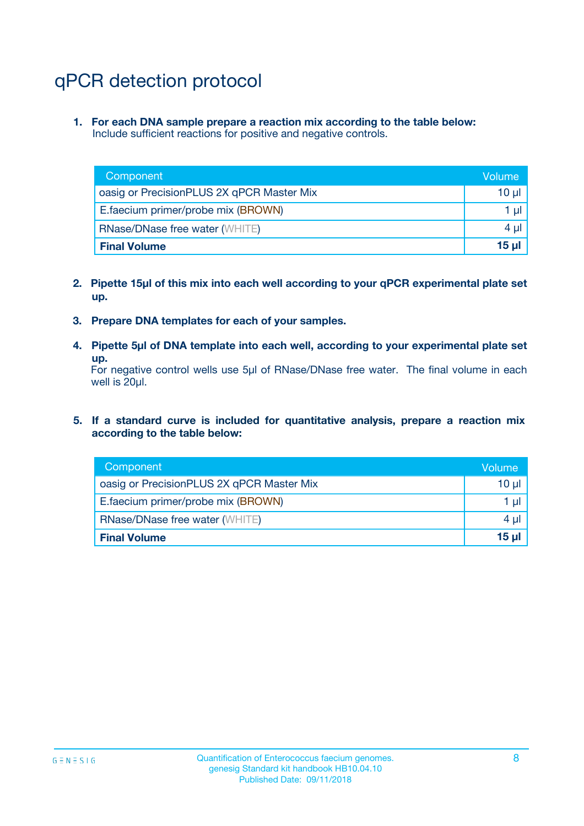## qPCR detection protocol

**1. For each DNA sample prepare a reaction mix according to the table below:** Include sufficient reactions for positive and negative controls.

| Component                                 | Volume       |
|-------------------------------------------|--------------|
| oasig or PrecisionPLUS 2X qPCR Master Mix | 10 $\mu$     |
| E.faecium primer/probe mix (BROWN)        | 1 $\mu$      |
| <b>RNase/DNase free water (WHITE)</b>     | $4 \mu$      |
| <b>Final Volume</b>                       | <b>15 ul</b> |

- **2. Pipette 15µl of this mix into each well according to your qPCR experimental plate set up.**
- **3. Prepare DNA templates for each of your samples.**
- **4. Pipette 5µl of DNA template into each well, according to your experimental plate set up.**

For negative control wells use 5µl of RNase/DNase free water. The final volume in each well is 20µl.

**5. If a standard curve is included for quantitative analysis, prepare a reaction mix according to the table below:**

| Component                                 | Volume          |
|-------------------------------------------|-----------------|
| oasig or PrecisionPLUS 2X qPCR Master Mix | 10 µl           |
| E.faecium primer/probe mix (BROWN)        | 1 µI            |
| <b>RNase/DNase free water (WHITE)</b>     | $4 \mu$         |
| <b>Final Volume</b>                       | 15 <sub>µ</sub> |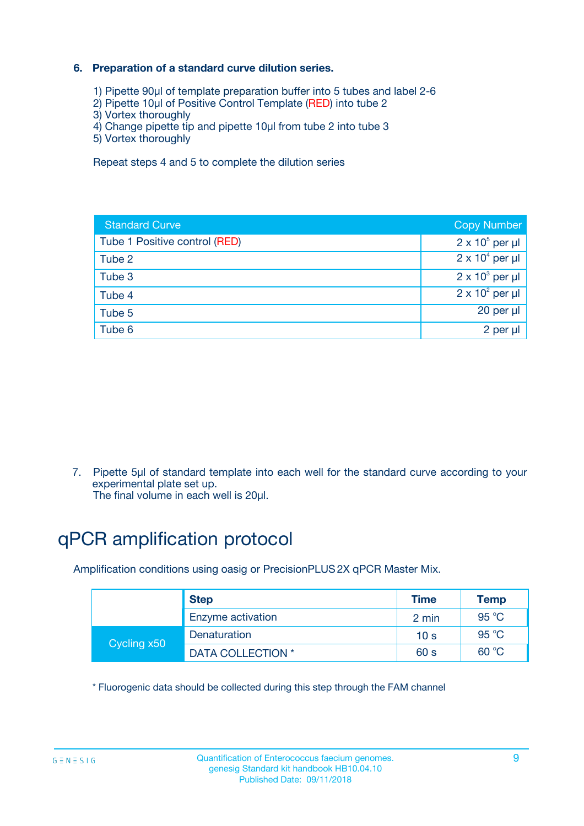#### **6. Preparation of a standard curve dilution series.**

- 1) Pipette 90µl of template preparation buffer into 5 tubes and label 2-6
- 2) Pipette 10µl of Positive Control Template (RED) into tube 2
- 3) Vortex thoroughly
- 4) Change pipette tip and pipette 10µl from tube 2 into tube 3
- 5) Vortex thoroughly

Repeat steps 4 and 5 to complete the dilution series

| <b>Standard Curve</b>         | <b>Copy Number</b>     |
|-------------------------------|------------------------|
| Tube 1 Positive control (RED) | $2 \times 10^5$ per µl |
| Tube 2                        | $2 \times 10^4$ per µl |
| Tube 3                        | $2 \times 10^3$ per µl |
| Tube 4                        | $2 \times 10^2$ per µl |
| Tube 5                        | 20 per µl              |
| Tube 6                        | $2$ per $\mu$          |

7. Pipette 5µl of standard template into each well for the standard curve according to your experimental plate set up.

The final volume in each well is 20µl.

## qPCR amplification protocol

Amplification conditions using oasig or PrecisionPLUS2X qPCR Master Mix.

|             | <b>Step</b>       | <b>Time</b>     | Temp           |
|-------------|-------------------|-----------------|----------------|
|             | Enzyme activation | 2 min           | $95^{\circ}$ C |
| Cycling x50 | Denaturation      | 10 <sub>s</sub> | 95 $°C$        |
|             | DATA COLLECTION * | 60 s            | 60 °C          |

\* Fluorogenic data should be collected during this step through the FAM channel